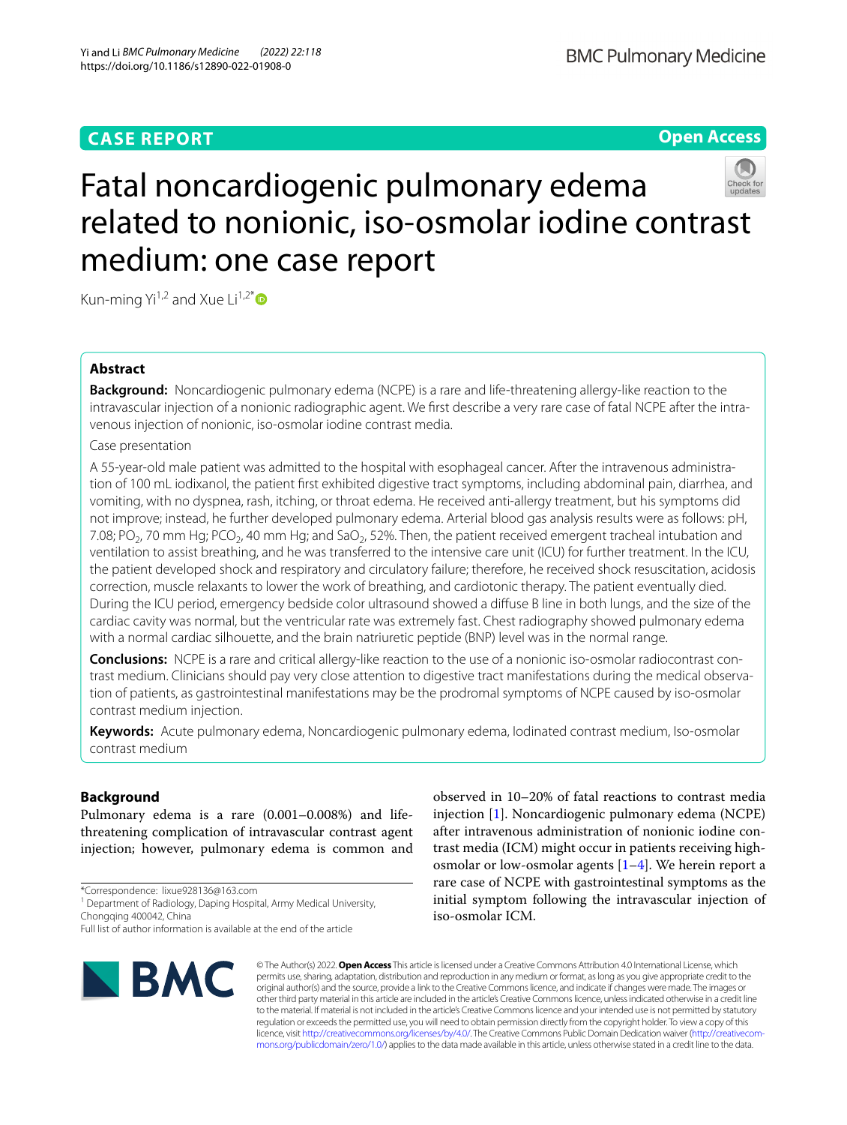# **CASE REPORT**

**Open Access**

# Fatal noncardiogenic pulmonary edema related to nonionic, iso-osmolar iodine contrast medium: one case report

Kun-ming Yi<sup>1,2</sup> and Xue Li<sup>1,2[\\*](http://orcid.org/0000-0003-3591-3451)</sup> $\bullet$ 

# **Abstract**

**Background:** Noncardiogenic pulmonary edema (NCPE) is a rare and life-threatening allergy-like reaction to the intravascular injection of a nonionic radiographic agent. We first describe a very rare case of fatal NCPE after the intravenous injection of nonionic, iso-osmolar iodine contrast media.

Case presentation

A 55-year-old male patient was admitted to the hospital with esophageal cancer. After the intravenous administration of 100 mL iodixanol, the patient frst exhibited digestive tract symptoms, including abdominal pain, diarrhea, and vomiting, with no dyspnea, rash, itching, or throat edema. He received anti-allergy treatment, but his symptoms did not improve; instead, he further developed pulmonary edema. Arterial blood gas analysis results were as follows: pH, 7.08; PO<sub>2</sub>, 70 mm Hg; PCO<sub>2</sub>, 40 mm Hg; and SaO<sub>2</sub>, 52%. Then, the patient received emergent tracheal intubation and ventilation to assist breathing, and he was transferred to the intensive care unit (ICU) for further treatment. In the ICU, the patient developed shock and respiratory and circulatory failure; therefore, he received shock resuscitation, acidosis correction, muscle relaxants to lower the work of breathing, and cardiotonic therapy. The patient eventually died. During the ICU period, emergency bedside color ultrasound showed a difuse B line in both lungs, and the size of the cardiac cavity was normal, but the ventricular rate was extremely fast. Chest radiography showed pulmonary edema with a normal cardiac silhouette, and the brain natriuretic peptide (BNP) level was in the normal range.

**Conclusions:** NCPE is a rare and critical allergy-like reaction to the use of a nonionic iso-osmolar radiocontrast con‑ trast medium. Clinicians should pay very close attention to digestive tract manifestations during the medical observa‑ tion of patients, as gastrointestinal manifestations may be the prodromal symptoms of NCPE caused by iso-osmolar contrast medium injection.

**Keywords:** Acute pulmonary edema, Noncardiogenic pulmonary edema, Iodinated contrast medium, Iso-osmolar contrast medium

# **Background**

Pulmonary edema is a rare (0.001–0.008%) and lifethreatening complication of intravascular contrast agent injection; however, pulmonary edema is common and

\*Correspondence: lixue928136@163.com

<sup>1</sup> Department of Radiology, Daping Hospital, Army Medical University, Chongqing 400042, China

Full list of author information is available at the end of the article



observed in 10–20% of fatal reactions to contrast media injection [[1\]](#page-3-0). Noncardiogenic pulmonary edema (NCPE) after intravenous administration of nonionic iodine contrast media (ICM) might occur in patients receiving highosmolar or low-osmolar agents  $[1-4]$  $[1-4]$ . We herein report a rare case of NCPE with gastrointestinal symptoms as the initial symptom following the intravascular injection of iso-osmolar ICM.

© The Author(s) 2022. **Open Access** This article is licensed under a Creative Commons Attribution 4.0 International License, which permits use, sharing, adaptation, distribution and reproduction in any medium or format, as long as you give appropriate credit to the original author(s) and the source, provide a link to the Creative Commons licence, and indicate if changes were made. The images or other third party material in this article are included in the article's Creative Commons licence, unless indicated otherwise in a credit line to the material. If material is not included in the article's Creative Commons licence and your intended use is not permitted by statutory regulation or exceeds the permitted use, you will need to obtain permission directly from the copyright holder. To view a copy of this licence, visit [http://creativecommons.org/licenses/by/4.0/.](http://creativecommons.org/licenses/by/4.0/) The Creative Commons Public Domain Dedication waiver (http://creativecom[mons.org/publicdomain/zero/1.0/\)](http://creativecommons.org/publicdomain/zero/1.0/) applies to the data made available in this article, unless otherwise stated in a credit line to the data.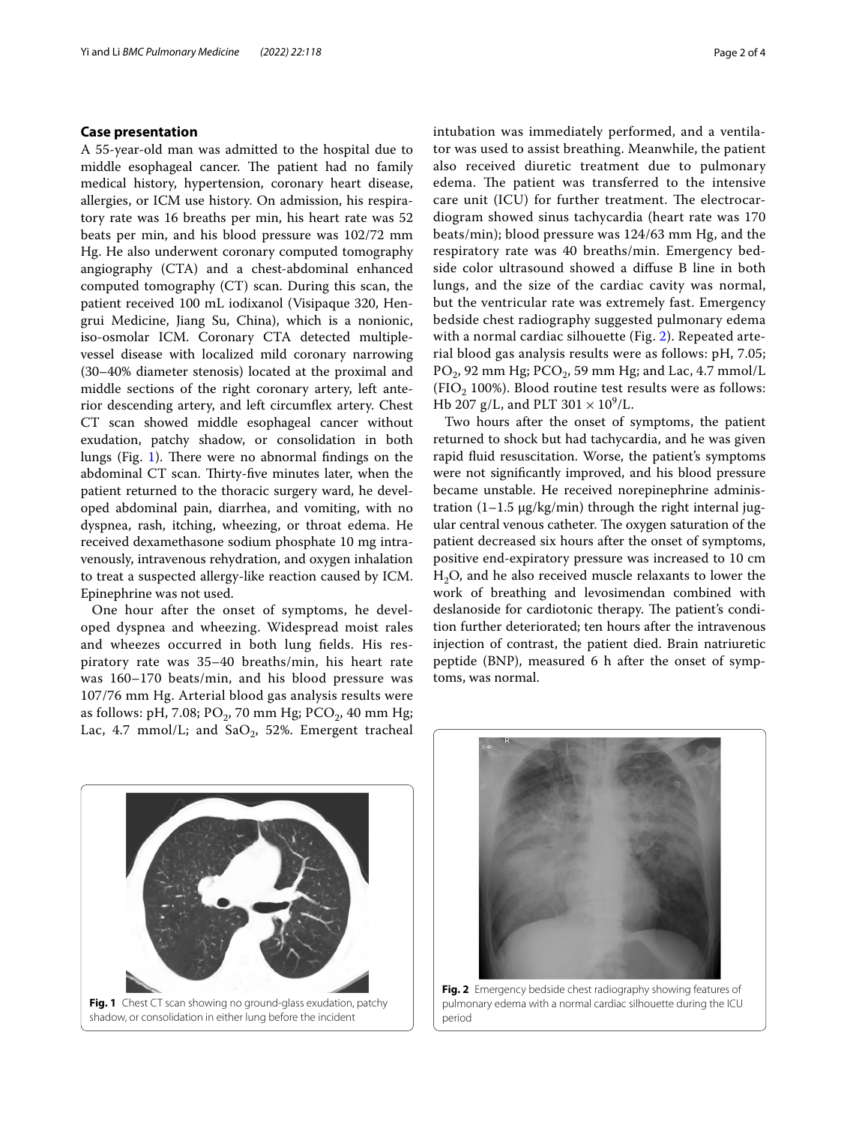# **Case presentation**

A 55-year-old man was admitted to the hospital due to middle esophageal cancer. The patient had no family medical history, hypertension, coronary heart disease, allergies, or ICM use history. On admission, his respiratory rate was 16 breaths per min, his heart rate was 52 beats per min, and his blood pressure was 102/72 mm Hg. He also underwent coronary computed tomography angiography (CTA) and a chest-abdominal enhanced computed tomography (CT) scan. During this scan, the patient received 100 mL iodixanol (Visipaque 320, Hengrui Medicine, Jiang Su, China), which is a nonionic, iso-osmolar ICM. Coronary CTA detected multiplevessel disease with localized mild coronary narrowing (30–40% diameter stenosis) located at the proximal and middle sections of the right coronary artery, left anterior descending artery, and left circumfex artery. Chest CT scan showed middle esophageal cancer without exudation, patchy shadow, or consolidation in both lungs (Fig. [1](#page-1-0)). There were no abnormal findings on the abdominal CT scan. Thirty-five minutes later, when the patient returned to the thoracic surgery ward, he developed abdominal pain, diarrhea, and vomiting, with no dyspnea, rash, itching, wheezing, or throat edema. He received dexamethasone sodium phosphate 10 mg intravenously, intravenous rehydration, and oxygen inhalation to treat a suspected allergy-like reaction caused by ICM. Epinephrine was not used.

One hour after the onset of symptoms, he developed dyspnea and wheezing. Widespread moist rales and wheezes occurred in both lung felds. His respiratory rate was 35–40 breaths/min, his heart rate was 160–170 beats/min, and his blood pressure was 107/76 mm Hg. Arterial blood gas analysis results were as follows: pH, 7.08;  $PO_2$ , 70 mm Hg;  $PCO_2$ , 40 mm Hg; Lac, 4.7 mmol/L; and SaO<sub>2</sub>, 52%. Emergent tracheal intubation was immediately performed, and a ventilator was used to assist breathing. Meanwhile, the patient also received diuretic treatment due to pulmonary edema. The patient was transferred to the intensive care unit (ICU) for further treatment. The electrocardiogram showed sinus tachycardia (heart rate was 170 beats/min); blood pressure was 124/63 mm Hg, and the respiratory rate was 40 breaths/min. Emergency bedside color ultrasound showed a difuse B line in both lungs, and the size of the cardiac cavity was normal, but the ventricular rate was extremely fast. Emergency bedside chest radiography suggested pulmonary edema with a normal cardiac silhouette (Fig. [2\)](#page-1-1). Repeated arterial blood gas analysis results were as follows: pH, 7.05;  $PO_2$ , 92 mm Hg; PCO<sub>2</sub>, 59 mm Hg; and Lac, 4.7 mmol/L (FIO<sub>2</sub> 100%). Blood routine test results were as follows: Hb 207 g/L, and PLT  $301 \times 10^9$ /L.

Two hours after the onset of symptoms, the patient returned to shock but had tachycardia, and he was given rapid fuid resuscitation. Worse, the patient's symptoms were not signifcantly improved, and his blood pressure became unstable. He received norepinephrine administration  $(1-1.5 \mu g/kg/min)$  through the right internal jugular central venous catheter. The oxygen saturation of the patient decreased six hours after the onset of symptoms, positive end-expiratory pressure was increased to 10 cm  $H<sub>2</sub>O$ , and he also received muscle relaxants to lower the work of breathing and levosimendan combined with deslanoside for cardiotonic therapy. The patient's condition further deteriorated; ten hours after the intravenous injection of contrast, the patient died. Brain natriuretic peptide (BNP), measured 6 h after the onset of symptoms, was normal.

<span id="page-1-0"></span>



<span id="page-1-1"></span>**Fig. 2** Emergency bedside chest radiography showing features of pulmonary edema with a normal cardiac silhouette during the ICU period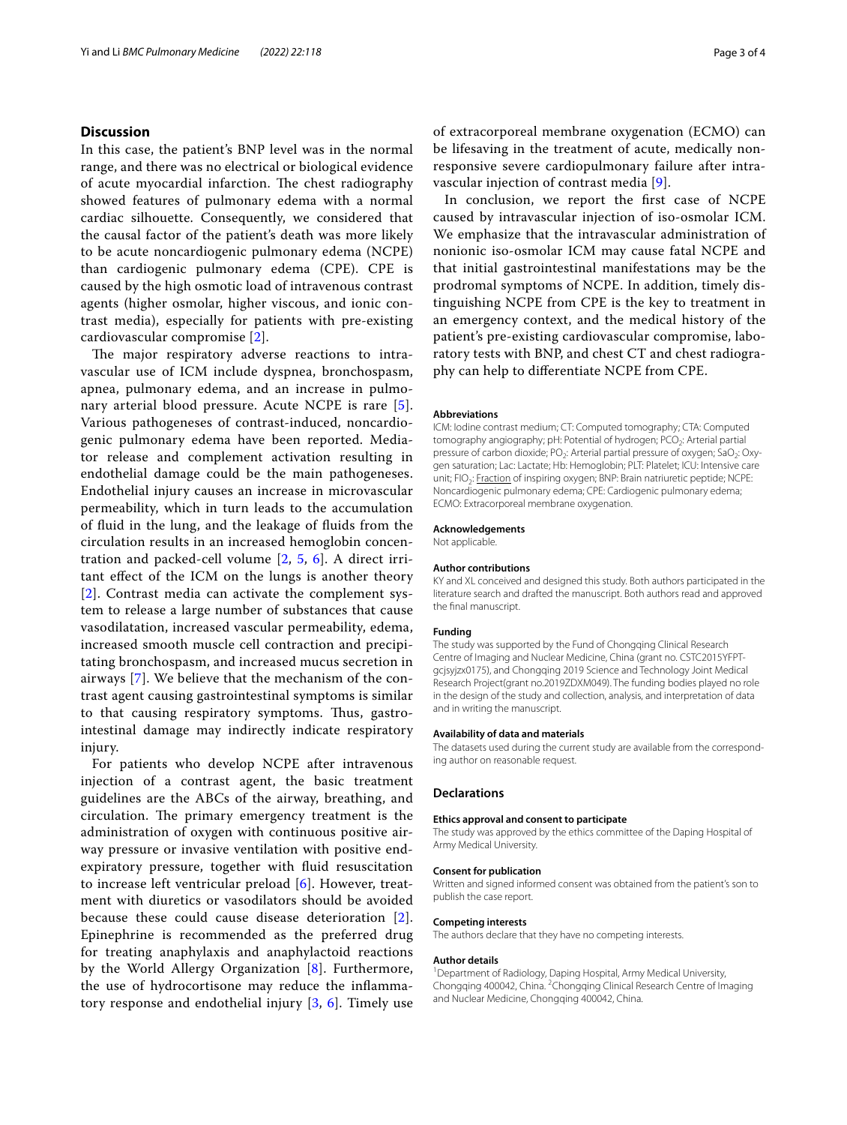# **Discussion**

In this case, the patient's BNP level was in the normal range, and there was no electrical or biological evidence of acute myocardial infarction. The chest radiography showed features of pulmonary edema with a normal cardiac silhouette. Consequently, we considered that the causal factor of the patient's death was more likely to be acute noncardiogenic pulmonary edema (NCPE) than cardiogenic pulmonary edema (CPE). CPE is caused by the high osmotic load of intravenous contrast agents (higher osmolar, higher viscous, and ionic contrast media), especially for patients with pre-existing cardiovascular compromise [[2\]](#page-3-2).

The major respiratory adverse reactions to intravascular use of ICM include dyspnea, bronchospasm, apnea, pulmonary edema, and an increase in pulmonary arterial blood pressure. Acute NCPE is rare [[5\]](#page-3-3). Various pathogeneses of contrast-induced, noncardiogenic pulmonary edema have been reported. Mediator release and complement activation resulting in endothelial damage could be the main pathogeneses. Endothelial injury causes an increase in microvascular permeability, which in turn leads to the accumulation of fuid in the lung, and the leakage of fuids from the circulation results in an increased hemoglobin concentration and packed-cell volume [[2,](#page-3-2) [5](#page-3-3), [6](#page-3-4)]. A direct irritant efect of the ICM on the lungs is another theory [[2](#page-3-2)]. Contrast media can activate the complement system to release a large number of substances that cause vasodilatation, increased vascular permeability, edema, increased smooth muscle cell contraction and precipitating bronchospasm, and increased mucus secretion in airways [[7\]](#page-3-5). We believe that the mechanism of the contrast agent causing gastrointestinal symptoms is similar to that causing respiratory symptoms. Thus, gastrointestinal damage may indirectly indicate respiratory injury.

For patients who develop NCPE after intravenous injection of a contrast agent, the basic treatment guidelines are the ABCs of the airway, breathing, and circulation. The primary emergency treatment is the administration of oxygen with continuous positive airway pressure or invasive ventilation with positive endexpiratory pressure, together with fuid resuscitation to increase left ventricular preload [[6\]](#page-3-4). However, treatment with diuretics or vasodilators should be avoided because these could cause disease deterioration [[2\]](#page-3-2). Epinephrine is recommended as the preferred drug for treating anaphylaxis and anaphylactoid reactions by the World Allergy Organization [[8](#page-3-6)]. Furthermore, the use of hydrocortisone may reduce the infammatory response and endothelial injury [\[3](#page-3-7), [6](#page-3-4)]. Timely use of extracorporeal membrane oxygenation (ECMO) can be lifesaving in the treatment of acute, medically nonresponsive severe cardiopulmonary failure after intravascular injection of contrast media [\[9](#page-3-8)].

In conclusion, we report the frst case of NCPE caused by intravascular injection of iso-osmolar ICM. We emphasize that the intravascular administration of nonionic iso-osmolar ICM may cause fatal NCPE and that initial gastrointestinal manifestations may be the prodromal symptoms of NCPE. In addition, timely distinguishing NCPE from CPE is the key to treatment in an emergency context, and the medical history of the patient's pre-existing cardiovascular compromise, laboratory tests with BNP, and chest CT and chest radiography can help to diferentiate NCPE from CPE.

#### **Abbreviations**

ICM: Iodine contrast medium; CT: Computed tomography; CTA: Computed tomography angiography; pH: Potential of hydrogen; PCO<sub>2</sub>: Arterial partial pressure of carbon dioxide; PO<sub>2</sub>: Arterial partial pressure of oxygen; SaO<sub>2</sub>: Oxygen saturation; Lac: Lactate; Hb: Hemoglobin; PLT: Platelet; ICU: Intensive care unit; FIO<sub>2</sub>: Fraction of inspiring oxygen; BNP: Brain natriuretic peptide; NCPE: Noncardiogenic pulmonary edema; CPE: Cardiogenic pulmonary edema; ECMO: Extracorporeal membrane oxygenation.

#### **Acknowledgements**

Not applicable.

#### **Author contributions**

KY and XL conceived and designed this study. Both authors participated in the literature search and drafted the manuscript. Both authors read and approved the fnal manuscript.

#### **Funding**

The study was supported by the Fund of Chongqing Clinical Research Centre of Imaging and Nuclear Medicine, China (grant no. CSTC2015YFPTgcjsyjzx0175), and Chongqing 2019 Science and Technology Joint Medical Research Project(grant no.2019ZDXM049). The funding bodies played no role in the design of the study and collection, analysis, and interpretation of data and in writing the manuscript.

# **Availability of data and materials**

The datasets used during the current study are available from the corresponding author on reasonable request.

# **Declarations**

#### **Ethics approval and consent to participate**

The study was approved by the ethics committee of the Daping Hospital of Army Medical University.

# **Consent for publication**

Written and signed informed consent was obtained from the patient's son to publish the case report.

## **Competing interests**

The authors declare that they have no competing interests.

## **Author details**

<sup>1</sup> Department of Radiology, Daping Hospital, Army Medical University, Chongqing 400042, China. <sup>2</sup> Chongqing Clinical Research Centre of Imaging and Nuclear Medicine, Chongqing 400042, China.